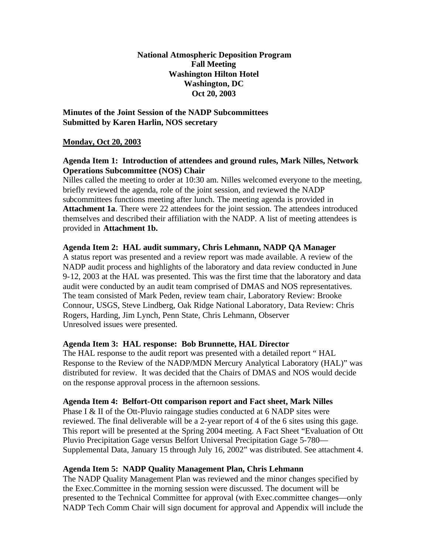**National Atmospheric Deposition Program Fall Meeting Washington Hilton Hotel Washington, DC Oct 20, 2003**

**Minutes of the Joint Session of the NADP Subcommittees Submitted by Karen Harlin, NOS secretary**

### **Monday, Oct 20, 2003**

## **Agenda Item 1: Introduction of attendees and ground rules, Mark Nilles, Network Operations Subcommittee (NOS) Chair**

Nilles called the meeting to order at 10:30 am. Nilles welcomed everyone to the meeting, briefly reviewed the agenda, role of the joint session, and reviewed the NADP subcommittees functions meeting after lunch. The meeting agenda is provided in Attachment 1a. There were 22 attendees for the joint session. The attendees introduced themselves and described their affiliation with the NADP. A list of meeting attendees is provided in **Attachment 1b.**

#### **Agenda Item 2: HAL audit summary, Chris Lehmann, NADP QA Manager**

A status report was presented and a review report was made available. A review of the NADP audit process and highlights of the laboratory and data review conducted in June 9-12, 2003 at the HAL was presented. This was the first time that the laboratory and data audit were conducted by an audit team comprised of DMAS and NOS representatives. The team consisted of Mark Peden, review team chair, Laboratory Review: Brooke Connour, USGS, Steve Lindberg, Oak Ridge National Laboratory, Data Review: Chris Rogers, Harding, Jim Lynch, Penn State, Chris Lehmann, Observer Unresolved issues were presented.

#### **Agenda Item 3: HAL response: Bob Brunnette, HAL Director**

The HAL response to the audit report was presented with a detailed report " HAL Response to the Review of the NADP/MDN Mercury Analytical Laboratory (HAL)" was distributed for review. It was decided that the Chairs of DMAS and NOS would decide on the response approval process in the afternoon sessions.

# **Agenda Item 4: Belfort-Ott comparison report and Fact sheet, Mark Nilles**

Phase I & II of the Ott-Pluvio raingage studies conducted at 6 NADP sites were reviewed. The final deliverable will be a 2-year report of 4 of the 6 sites using this gage. This report will be presented at the Spring 2004 meeting. A Fact Sheet "Evaluation of Ott Pluvio Precipitation Gage versus Belfort Universal Precipitation Gage 5-780— Supplemental Data, January 15 through July 16, 2002" was distributed. See attachment 4.

# **Agenda Item 5: NADP Quality Management Plan, Chris Lehmann**

The NADP Quality Management Plan was reviewed and the minor changes specified by the Exec.Committee in the morning session were discussed. The document will be presented to the Technical Committee for approval (with Exec.committee changes—only NADP Tech Comm Chair will sign document for approval and Appendix will include the